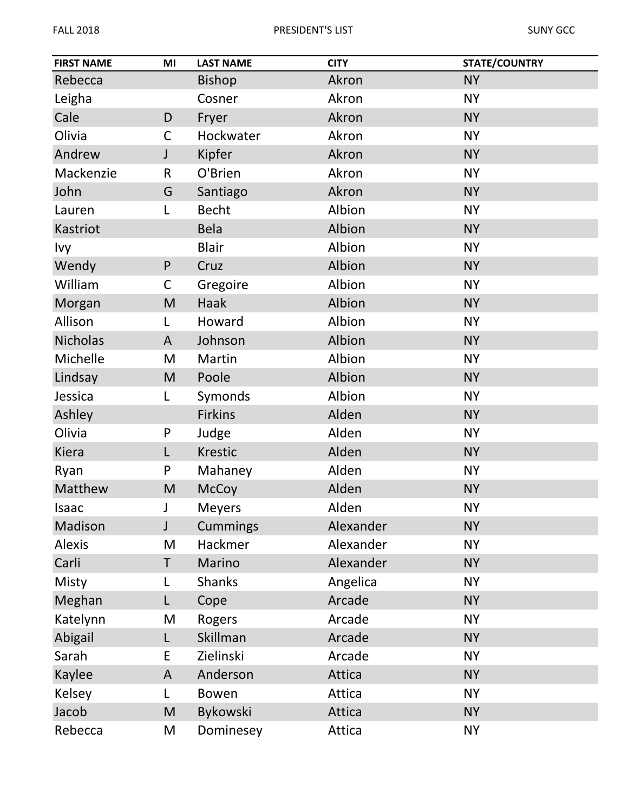| <b>FIRST NAME</b> | MI          | <b>LAST NAME</b> | <b>CITY</b> | <b>STATE/COUNTRY</b> |
|-------------------|-------------|------------------|-------------|----------------------|
| Rebecca           |             | <b>Bishop</b>    | Akron       | <b>NY</b>            |
| Leigha            |             | Cosner           | Akron       | <b>NY</b>            |
| Cale              | D           | Fryer            | Akron       | <b>NY</b>            |
| Olivia            | $\mathsf C$ | Hockwater        | Akron       | <b>NY</b>            |
| Andrew            | J           | Kipfer           | Akron       | <b>NY</b>            |
| Mackenzie         | R           | O'Brien          | Akron       | <b>NY</b>            |
| John              | G           | Santiago         | Akron       | <b>NY</b>            |
| Lauren            | L           | <b>Becht</b>     | Albion      | <b>NY</b>            |
| Kastriot          |             | <b>Bela</b>      | Albion      | <b>NY</b>            |
| Ivy               |             | <b>Blair</b>     | Albion      | <b>NY</b>            |
| Wendy             | P           | Cruz             | Albion      | <b>NY</b>            |
| William           | $\mathsf C$ | Gregoire         | Albion      | <b>NY</b>            |
| Morgan            | M           | Haak             | Albion      | <b>NY</b>            |
| Allison           | L           | Howard           | Albion      | <b>NY</b>            |
| <b>Nicholas</b>   | A           | Johnson          | Albion      | <b>NY</b>            |
| Michelle          | M           | Martin           | Albion      | <b>NY</b>            |
| Lindsay           | M           | Poole            | Albion      | <b>NY</b>            |
| Jessica           | L           | Symonds          | Albion      | <b>NY</b>            |
| Ashley            |             | <b>Firkins</b>   | Alden       | <b>NY</b>            |
| Olivia            | P           | Judge            | Alden       | <b>NY</b>            |
| Kiera             | L           | <b>Krestic</b>   | Alden       | <b>NY</b>            |
| Ryan              | P           | Mahaney          | Alden       | <b>NY</b>            |
| Matthew           | M           | <b>McCoy</b>     | Alden       | <b>NY</b>            |
| Isaac             | J           | <b>Meyers</b>    | Alden       | <b>NY</b>            |
| Madison           | J           | <b>Cummings</b>  | Alexander   | <b>NY</b>            |
| <b>Alexis</b>     | M           | Hackmer          | Alexander   | <b>NY</b>            |
| Carli             | T           | Marino           | Alexander   | <b>NY</b>            |
| Misty             | L           | <b>Shanks</b>    | Angelica    | <b>NY</b>            |
| Meghan            | L           | Cope             | Arcade      | <b>NY</b>            |
| Katelynn          | M           | Rogers           | Arcade      | <b>NY</b>            |
| Abigail           | L           | Skillman         | Arcade      | <b>NY</b>            |
| Sarah             | E           | Zielinski        | Arcade      | <b>NY</b>            |
| Kaylee            | A           | Anderson         | Attica      | <b>NY</b>            |
| Kelsey            | L           | <b>Bowen</b>     | Attica      | <b>NY</b>            |
| Jacob             | M           | Bykowski         | Attica      | <b>NY</b>            |
| Rebecca           | M           | Dominesey        | Attica      | <b>NY</b>            |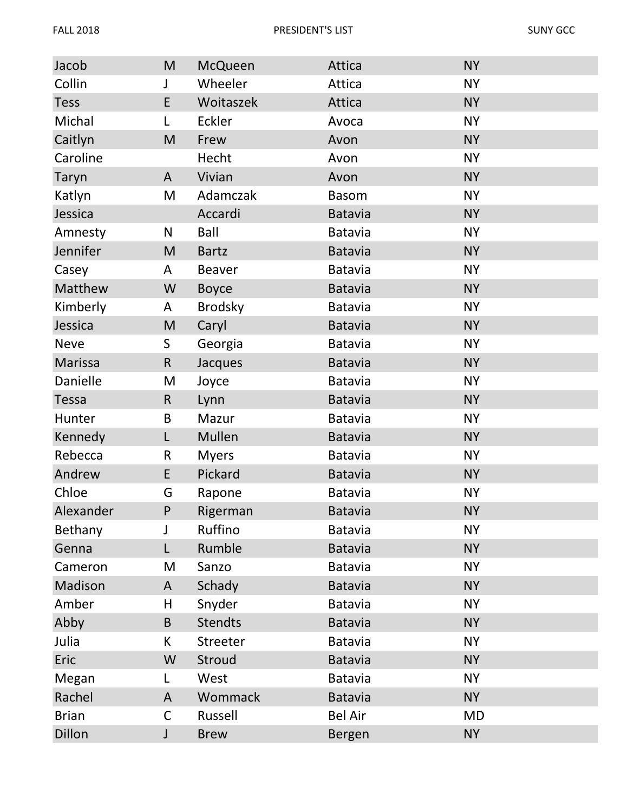| Jacob        | M           | <b>McQueen</b> | Attica         | <b>NY</b> |
|--------------|-------------|----------------|----------------|-----------|
| Collin       | J           | Wheeler        | Attica         | <b>NY</b> |
| <b>Tess</b>  | E           | Woitaszek      | Attica         | <b>NY</b> |
| Michal       | L           | Eckler         | Avoca          | <b>NY</b> |
| Caitlyn      | M           | Frew           | Avon           | <b>NY</b> |
| Caroline     |             | Hecht          | Avon           | <b>NY</b> |
| Taryn        | A           | Vivian         | Avon           | <b>NY</b> |
| Katlyn       | M           | Adamczak       | <b>Basom</b>   | <b>NY</b> |
| Jessica      |             | Accardi        | <b>Batavia</b> | <b>NY</b> |
| Amnesty      | N           | Ball           | <b>Batavia</b> | <b>NY</b> |
| Jennifer     | M           | <b>Bartz</b>   | <b>Batavia</b> | <b>NY</b> |
| Casey        | A           | <b>Beaver</b>  | Batavia        | <b>NY</b> |
| Matthew      | W           | <b>Boyce</b>   | <b>Batavia</b> | <b>NY</b> |
| Kimberly     | A           | <b>Brodsky</b> | <b>Batavia</b> | <b>NY</b> |
| Jessica      | M           | Caryl          | <b>Batavia</b> | <b>NY</b> |
| <b>Neve</b>  | S           | Georgia        | <b>Batavia</b> | <b>NY</b> |
| Marissa      | $\mathsf R$ | Jacques        | <b>Batavia</b> | <b>NY</b> |
| Danielle     | M           | Joyce          | <b>Batavia</b> | <b>NY</b> |
| <b>Tessa</b> | $\mathsf R$ | Lynn           | <b>Batavia</b> | <b>NY</b> |
| Hunter       | B           | Mazur          | Batavia        | <b>NY</b> |
| Kennedy      | L           | Mullen         | <b>Batavia</b> | <b>NY</b> |
| Rebecca      | R           | <b>Myers</b>   | <b>Batavia</b> | <b>NY</b> |
| Andrew       | E           | Pickard        | <b>Batavia</b> | <b>NY</b> |
| Chloe        | G           | Rapone         | <b>Batavia</b> | <b>NY</b> |
| Alexander    | P           | Rigerman       | <b>Batavia</b> | <b>NY</b> |
| Bethany      | J           | Ruffino        | <b>Batavia</b> | <b>NY</b> |
| Genna        | L           | Rumble         | <b>Batavia</b> | <b>NY</b> |
| Cameron      | M           | Sanzo          | <b>Batavia</b> | <b>NY</b> |
| Madison      | A           | Schady         | <b>Batavia</b> | <b>NY</b> |
| Amber        | Н           | Snyder         | <b>Batavia</b> | <b>NY</b> |
| Abby         | B           | <b>Stendts</b> | <b>Batavia</b> | <b>NY</b> |
| Julia        | K.          | Streeter       | <b>Batavia</b> | <b>NY</b> |
| Eric         | W           | Stroud         | <b>Batavia</b> | <b>NY</b> |
| Megan        | L           | West           | <b>Batavia</b> | <b>NY</b> |
| Rachel       | A           | Wommack        | <b>Batavia</b> | <b>NY</b> |
| <b>Brian</b> | C           | Russell        | <b>Bel Air</b> | <b>MD</b> |
| Dillon       | J           | <b>Brew</b>    | Bergen         | <b>NY</b> |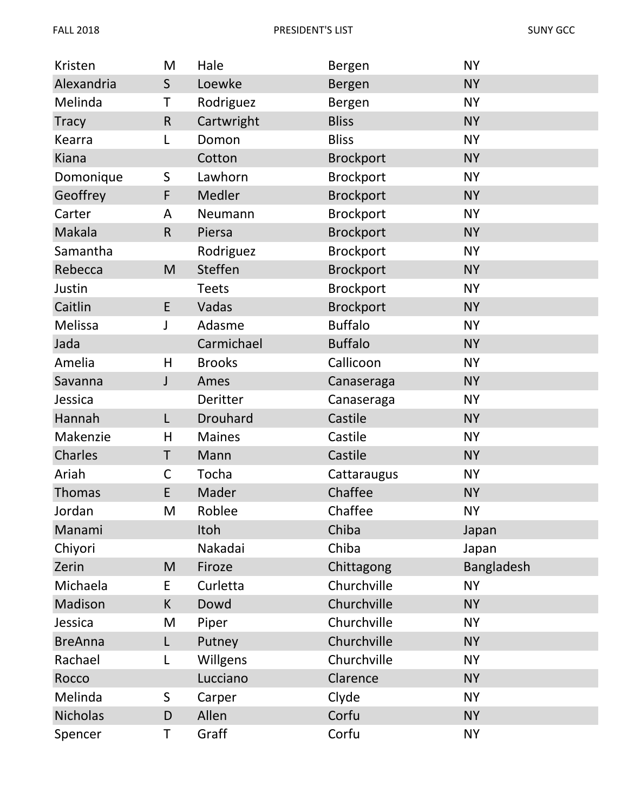| Kristen        | M            | Hale            | Bergen           | <b>NY</b>  |
|----------------|--------------|-----------------|------------------|------------|
| Alexandria     | $\mathsf{S}$ | Loewke          | Bergen           | <b>NY</b>  |
| Melinda        | Τ            | Rodriguez       | Bergen           | <b>NY</b>  |
| <b>Tracy</b>   | $\mathsf R$  | Cartwright      | <b>Bliss</b>     | <b>NY</b>  |
| Kearra         | L            | Domon           | <b>Bliss</b>     | <b>NY</b>  |
| Kiana          |              | Cotton          | <b>Brockport</b> | <b>NY</b>  |
| Domonique      | S            | Lawhorn         | <b>Brockport</b> | <b>NY</b>  |
| Geoffrey       | F            | Medler          | <b>Brockport</b> | <b>NY</b>  |
| Carter         | A            | Neumann         | <b>Brockport</b> | <b>NY</b>  |
| Makala         | $\mathsf{R}$ | Piersa          | <b>Brockport</b> | <b>NY</b>  |
| Samantha       |              | Rodriguez       | <b>Brockport</b> | <b>NY</b>  |
| Rebecca        | M            | Steffen         | <b>Brockport</b> | <b>NY</b>  |
| Justin         |              | <b>Teets</b>    | <b>Brockport</b> | <b>NY</b>  |
| Caitlin        | E            | Vadas           | <b>Brockport</b> | <b>NY</b>  |
| Melissa        | J            | Adasme          | <b>Buffalo</b>   | <b>NY</b>  |
| Jada           |              | Carmichael      | <b>Buffalo</b>   | <b>NY</b>  |
| Amelia         | H            | <b>Brooks</b>   | Callicoon        | <b>NY</b>  |
| Savanna        | J            | Ames            | Canaseraga       | <b>NY</b>  |
| Jessica        |              | Deritter        | Canaseraga       | <b>NY</b>  |
| Hannah         | L            | <b>Drouhard</b> | Castile          | <b>NY</b>  |
| Makenzie       | H            | <b>Maines</b>   | Castile          | <b>NY</b>  |
| Charles        | Τ            | Mann            | Castile          | <b>NY</b>  |
| Ariah          | $\mathsf C$  | Tocha           | Cattaraugus      | <b>NY</b>  |
| <b>Thomas</b>  | E            | Mader           | Chaffee          | <b>NY</b>  |
| Jordan         | M            | Roblee          | Chaffee          | <b>NY</b>  |
| Manami         |              | Itoh            | Chiba            | Japan      |
| Chiyori        |              | Nakadai         | Chiba            | Japan      |
| Zerin          | M            | Firoze          | Chittagong       | Bangladesh |
| Michaela       | E            | Curletta        | Churchville      | <b>NY</b>  |
| Madison        | K            | Dowd            | Churchville      | <b>NY</b>  |
| Jessica        | M            | Piper           | Churchville      | <b>NY</b>  |
| <b>BreAnna</b> | L            | Putney          | Churchville      | <b>NY</b>  |
| Rachael        | L            | Willgens        | Churchville      | <b>NY</b>  |
| Rocco          |              | Lucciano        | Clarence         | <b>NY</b>  |
| Melinda        | S            | Carper          | Clyde            | <b>NY</b>  |
| Nicholas       | D            | Allen           | Corfu            | <b>NY</b>  |
| Spencer        | Τ            | Graff           | Corfu            | <b>NY</b>  |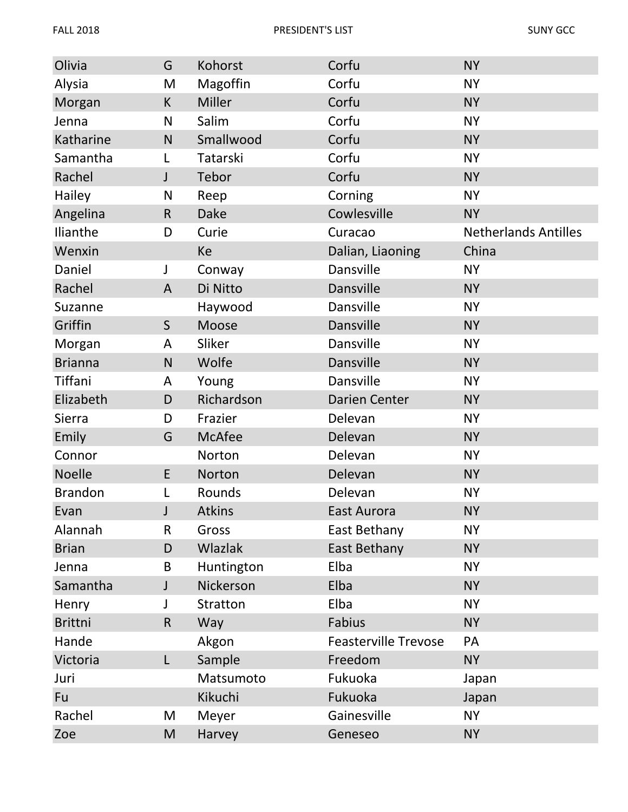| Olivia         | G            | Kohorst       | Corfu                       | <b>NY</b>                   |
|----------------|--------------|---------------|-----------------------------|-----------------------------|
| Alysia         | M            | Magoffin      | Corfu                       | <b>NY</b>                   |
| Morgan         | $\sf K$      | <b>Miller</b> | Corfu                       | <b>NY</b>                   |
| Jenna          | N            | Salim         | Corfu                       | <b>NY</b>                   |
| Katharine      | $\mathsf{N}$ | Smallwood     | Corfu                       | <b>NY</b>                   |
| Samantha       | L            | Tatarski      | Corfu                       | <b>NY</b>                   |
| Rachel         | J            | Tebor         | Corfu                       | <b>NY</b>                   |
| Hailey         | N            | Reep          | Corning                     | <b>NY</b>                   |
| Angelina       | ${\sf R}$    | <b>Dake</b>   | Cowlesville                 | <b>NY</b>                   |
| Ilianthe       | D            | Curie         | Curacao                     | <b>Netherlands Antilles</b> |
| Wenxin         |              | Ke            | Dalian, Liaoning            | China                       |
| Daniel         | J            | Conway        | <b>Dansville</b>            | <b>NY</b>                   |
| Rachel         | A            | Di Nitto      | Dansville                   | <b>NY</b>                   |
| Suzanne        |              | Haywood       | Dansville                   | <b>NY</b>                   |
| Griffin        | $\mathsf S$  | Moose         | Dansville                   | <b>NY</b>                   |
| Morgan         | A            | Sliker        | Dansville                   | <b>NY</b>                   |
| <b>Brianna</b> | $\mathsf{N}$ | Wolfe         | Dansville                   | <b>NY</b>                   |
| Tiffani        | A            | Young         | Dansville                   | <b>NY</b>                   |
| Elizabeth      | D            | Richardson    | <b>Darien Center</b>        | <b>NY</b>                   |
| Sierra         | D            | Frazier       | Delevan                     | <b>NY</b>                   |
| Emily          | G            | McAfee        | Delevan                     | <b>NY</b>                   |
| Connor         |              | Norton        | Delevan                     | <b>NY</b>                   |
| <b>Noelle</b>  | E            | Norton        | Delevan                     | <b>NY</b>                   |
| <b>Brandon</b> | L            | Rounds        | Delevan                     | <b>NY</b>                   |
| Evan           |              | <b>Atkins</b> | East Aurora                 | <b>NY</b>                   |
| Alannah        | R            | Gross         | East Bethany                | <b>NY</b>                   |
| <b>Brian</b>   | D            | Wlazlak       | East Bethany                | <b>NY</b>                   |
| Jenna          | B            | Huntington    | Elba                        | <b>NY</b>                   |
| Samantha       |              | Nickerson     | Elba                        | <b>NY</b>                   |
| Henry          |              | Stratton      | Elba                        | <b>NY</b>                   |
| <b>Brittni</b> | $\mathsf{R}$ | Way           | Fabius                      | <b>NY</b>                   |
| Hande          |              | Akgon         | <b>Feasterville Trevose</b> | PA                          |
| Victoria       | L            | Sample        | Freedom                     | <b>NY</b>                   |
| Juri           |              | Matsumoto     | Fukuoka                     | Japan                       |
| Fu             |              | Kikuchi       | Fukuoka                     | Japan                       |
| Rachel         | M            | Meyer         | Gainesville                 | <b>NY</b>                   |
| Zoe            | M            | Harvey        | Geneseo                     | <b>NY</b>                   |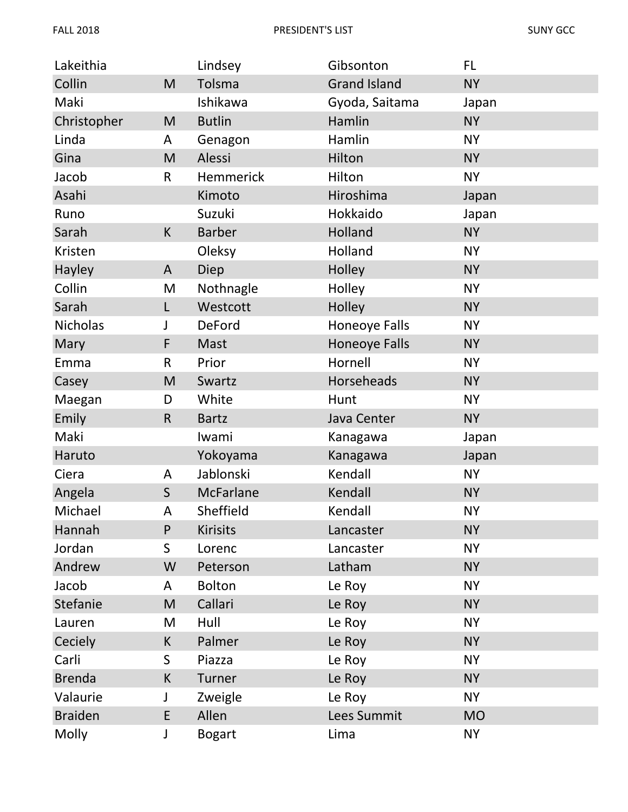| Lakeithia       |              | Lindsey          | Gibsonton            | FL.       |
|-----------------|--------------|------------------|----------------------|-----------|
| Collin          | M            | Tolsma           | <b>Grand Island</b>  | <b>NY</b> |
| Maki            |              | Ishikawa         | Gyoda, Saitama       | Japan     |
| Christopher     | M            | <b>Butlin</b>    | Hamlin               | <b>NY</b> |
| Linda           | A            | Genagon          | Hamlin               | <b>NY</b> |
| Gina            | M            | Alessi           | Hilton               | <b>NY</b> |
| Jacob           | $\mathsf R$  | Hemmerick        | Hilton               | <b>NY</b> |
| Asahi           |              | Kimoto           | Hiroshima            | Japan     |
| Runo            |              | Suzuki           | Hokkaido             | Japan     |
| Sarah           | K            | <b>Barber</b>    | Holland              | <b>NY</b> |
| Kristen         |              | Oleksy           | Holland              | <b>NY</b> |
| Hayley          | A            | Diep             | Holley               | <b>NY</b> |
| Collin          | M            | Nothnagle        | Holley               | <b>NY</b> |
| Sarah           | L            | Westcott         | Holley               | <b>NY</b> |
| <b>Nicholas</b> | J            | <b>DeFord</b>    | Honeoye Falls        | <b>NY</b> |
| Mary            | F            | Mast             | <b>Honeoye Falls</b> | <b>NY</b> |
| Emma            | R            | Prior            | Hornell              | <b>NY</b> |
| Casey           | M            | Swartz           | Horseheads           | <b>NY</b> |
| Maegan          | D            | White            | Hunt                 | <b>NY</b> |
| Emily           | $\mathsf R$  | <b>Bartz</b>     | Java Center          | <b>NY</b> |
| Maki            |              | Iwami            | Kanagawa             | Japan     |
| Haruto          |              | Yokoyama         | Kanagawa             | Japan     |
| Ciera           | A            | Jablonski        | Kendall              | <b>NY</b> |
| Angela          | $\mathsf{S}$ | <b>McFarlane</b> | Kendall              | <b>NY</b> |
| Michael         | Α            | Sheffield        | Kendall              | <b>NY</b> |
| Hannah          | P            | <b>Kirisits</b>  | Lancaster            | <b>NY</b> |
| Jordan          | S            | Lorenc           | Lancaster            | <b>NY</b> |
| Andrew          | W            | Peterson         | Latham               | <b>NY</b> |
| Jacob           | A            | <b>Bolton</b>    | Le Roy               | <b>NY</b> |
| Stefanie        | M            | Callari          | Le Roy               | <b>NY</b> |
| Lauren          | M            | Hull             | Le Roy               | <b>NY</b> |
| Ceciely         | K            | Palmer           | Le Roy               | <b>NY</b> |
| Carli           | S            | Piazza           | Le Roy               | <b>NY</b> |
| <b>Brenda</b>   | K            | Turner           | Le Roy               | <b>NY</b> |
| Valaurie        | J            | Zweigle          | Le Roy               | <b>NY</b> |
| <b>Braiden</b>  | E            | Allen            | Lees Summit          | <b>MO</b> |
| Molly           | J            | <b>Bogart</b>    | Lima                 | <b>NY</b> |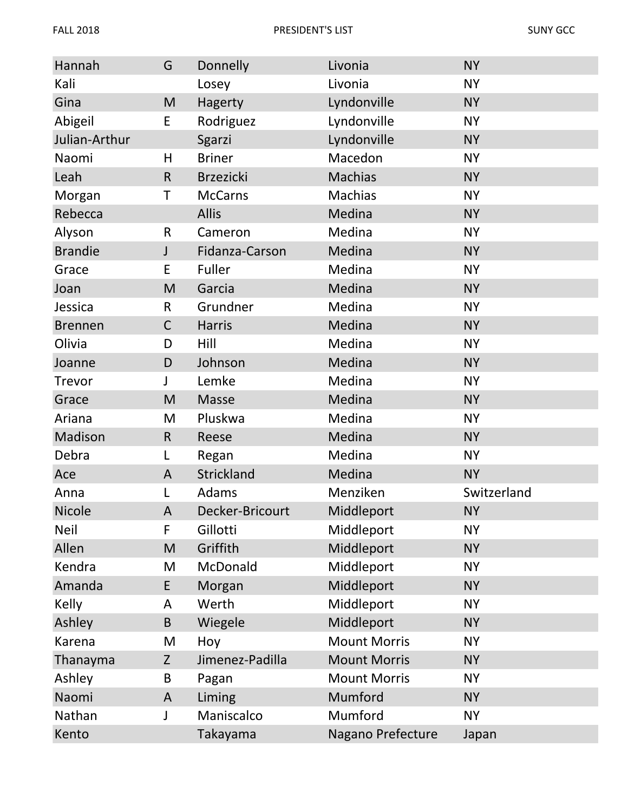| Hannah         | G            | Donnelly         | Livonia             | <b>NY</b>   |
|----------------|--------------|------------------|---------------------|-------------|
| Kali           |              | Losey            | Livonia             | <b>NY</b>   |
| Gina           | ${\sf M}$    | Hagerty          | Lyndonville         | <b>NY</b>   |
| Abigeil        | E            | Rodriguez        | Lyndonville         | <b>NY</b>   |
| Julian-Arthur  |              | Sgarzi           | Lyndonville         | <b>NY</b>   |
| Naomi          | Н            | <b>Briner</b>    | Macedon             | <b>NY</b>   |
| Leah           | $\mathsf{R}$ | <b>Brzezicki</b> | <b>Machias</b>      | <b>NY</b>   |
| Morgan         | Τ            | <b>McCarns</b>   | <b>Machias</b>      | <b>NY</b>   |
| Rebecca        |              | <b>Allis</b>     | Medina              | <b>NY</b>   |
| Alyson         | R            | Cameron          | Medina              | <b>NY</b>   |
| <b>Brandie</b> | J            | Fidanza-Carson   | Medina              | <b>NY</b>   |
| Grace          | E            | Fuller           | Medina              | <b>NY</b>   |
| Joan           | M            | Garcia           | Medina              | <b>NY</b>   |
| Jessica        | $\mathsf{R}$ | Grundner         | Medina              | <b>NY</b>   |
| <b>Brennen</b> | $\mathsf C$  | Harris           | Medina              | <b>NY</b>   |
| Olivia         | D            | Hill             | Medina              | <b>NY</b>   |
| Joanne         | D            | Johnson          | Medina              | <b>NY</b>   |
| Trevor         | J            | Lemke            | Medina              | <b>NY</b>   |
| Grace          | M            | Masse            | Medina              | <b>NY</b>   |
| Ariana         | M            | Pluskwa          | Medina              | <b>NY</b>   |
| Madison        | $\mathsf{R}$ | Reese            | Medina              | <b>NY</b>   |
| Debra          | L            | Regan            | Medina              | <b>NY</b>   |
| Ace            | A            | Strickland       | Medina              | <b>NY</b>   |
| Anna           | L            | Adams            | Menziken            | Switzerland |
| <b>Nicole</b>  | A            | Decker-Bricourt  | Middleport          | <b>NY</b>   |
| <b>Neil</b>    | F            | Gillotti         | Middleport          | <b>NY</b>   |
| Allen          | M            | Griffith         | Middleport          | <b>NY</b>   |
| Kendra         | M            | McDonald         | Middleport          | <b>NY</b>   |
| Amanda         | E            | Morgan           | Middleport          | <b>NY</b>   |
| Kelly          | A            | Werth            | Middleport          | <b>NY</b>   |
| Ashley         | B            | Wiegele          | Middleport          | <b>NY</b>   |
| Karena         | M            | Hoy              | <b>Mount Morris</b> | <b>NY</b>   |
| Thanayma       | Z            | Jimenez-Padilla  | <b>Mount Morris</b> | <b>NY</b>   |
| Ashley         | B            | Pagan            | <b>Mount Morris</b> | <b>NY</b>   |
| Naomi          | A            | Liming           | Mumford             | <b>NY</b>   |
| Nathan         | <sup>1</sup> | Maniscalco       | Mumford             | <b>NY</b>   |
| Kento          |              | Takayama         | Nagano Prefecture   | Japan       |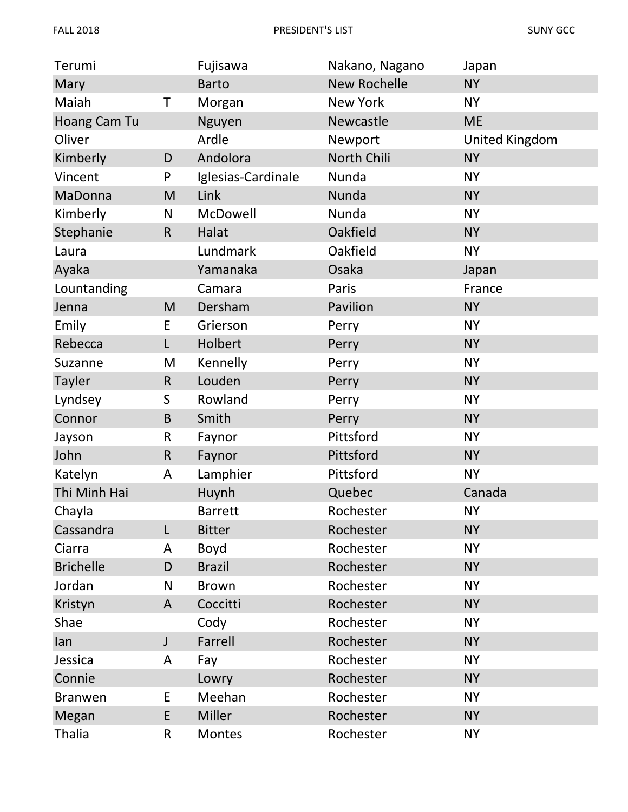| Terumi           |              | Fujisawa           | Nakano, Nagano      | Japan          |
|------------------|--------------|--------------------|---------------------|----------------|
| Mary             |              | <b>Barto</b>       | <b>New Rochelle</b> | <b>NY</b>      |
| Maiah            | Τ            | Morgan             | <b>New York</b>     | <b>NY</b>      |
| Hoang Cam Tu     |              | Nguyen             | Newcastle           | <b>ME</b>      |
| Oliver           |              | Ardle              | Newport             | United Kingdom |
| Kimberly         | D            | Andolora           | North Chili         | <b>NY</b>      |
| Vincent          | $\mathsf{P}$ | Iglesias-Cardinale | Nunda               | <b>NY</b>      |
| MaDonna          | M            | Link               | Nunda               | <b>NY</b>      |
| Kimberly         | $\mathsf{N}$ | McDowell           | Nunda               | <b>NY</b>      |
| Stephanie        | $\mathsf{R}$ | Halat              | Oakfield            | <b>NY</b>      |
| Laura            |              | Lundmark           | Oakfield            | <b>NY</b>      |
| Ayaka            |              | Yamanaka           | Osaka               | Japan          |
| Lountanding      |              | Camara             | Paris               | France         |
| Jenna            | M            | Dersham            | Pavilion            | <b>NY</b>      |
| Emily            | E            | Grierson           | Perry               | <b>NY</b>      |
| Rebecca          | L            | Holbert            | Perry               | <b>NY</b>      |
| Suzanne          | M            | Kennelly           | Perry               | <b>NY</b>      |
| <b>Tayler</b>    | $\mathsf R$  | Louden             | Perry               | <b>NY</b>      |
| Lyndsey          | S            | Rowland            | Perry               | <b>NY</b>      |
| Connor           | $\sf B$      | Smith              | Perry               | <b>NY</b>      |
| Jayson           | $\mathsf R$  | Faynor             | Pittsford           | <b>NY</b>      |
| John             | $\mathsf R$  | Faynor             | Pittsford           | <b>NY</b>      |
| Katelyn          | A            | Lamphier           | Pittsford           | <b>NY</b>      |
| Thi Minh Hai     |              | Huynh              | Quebec              | Canada         |
| Chayla           |              | <b>Barrett</b>     | Rochester           | <b>NY</b>      |
| Cassandra        | L            | <b>Bitter</b>      | Rochester           | <b>NY</b>      |
| Ciarra           | A            | Boyd               | Rochester           | <b>NY</b>      |
| <b>Brichelle</b> | D            | <b>Brazil</b>      | Rochester           | <b>NY</b>      |
| Jordan           | N            | <b>Brown</b>       | Rochester           | <b>NY</b>      |
| Kristyn          | A            | Coccitti           | Rochester           | <b>NY</b>      |
| Shae             |              | Cody               | Rochester           | <b>NY</b>      |
| lan              | J            | Farrell            | Rochester           | <b>NY</b>      |
| Jessica          | A            | Fay                | Rochester           | <b>NY</b>      |
| Connie           |              | Lowry              | Rochester           | <b>NY</b>      |
| <b>Branwen</b>   | E            | Meehan             | Rochester           | <b>NY</b>      |
| Megan            | E            | Miller             | Rochester           | <b>NY</b>      |
| <b>Thalia</b>    | $\mathsf{R}$ | Montes             | Rochester           | <b>NY</b>      |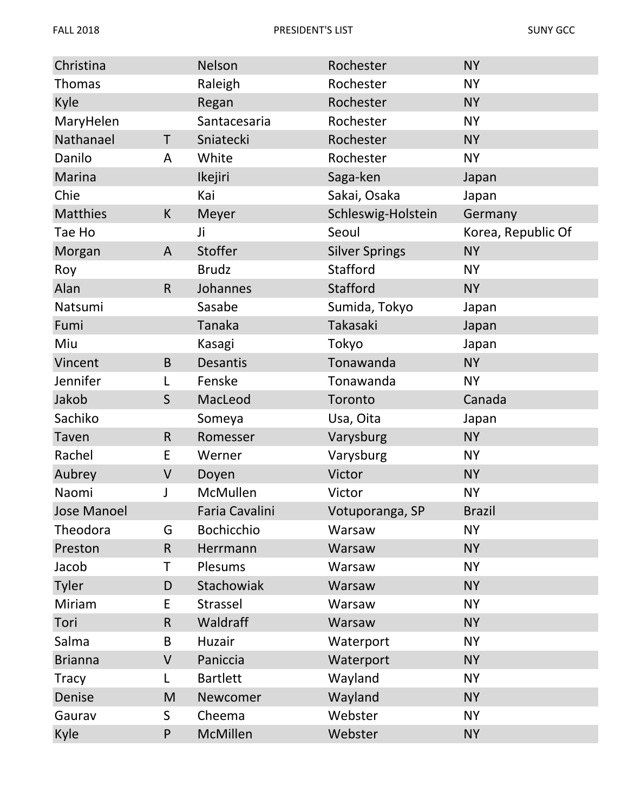| Christina       |              | Nelson            | Rochester             | <b>NY</b>          |
|-----------------|--------------|-------------------|-----------------------|--------------------|
| <b>Thomas</b>   |              | Raleigh           | Rochester             | <b>NY</b>          |
| Kyle            |              | Regan             | Rochester             | <b>NY</b>          |
| MaryHelen       |              | Santacesaria      | Rochester             | <b>NY</b>          |
| Nathanael       | T            | Sniatecki         | Rochester             | <b>NY</b>          |
| Danilo          | A            | White             | Rochester             | <b>NY</b>          |
| Marina          |              | Ikejiri           | Saga-ken              | Japan              |
| Chie            |              | Kai               | Sakai, Osaka          | Japan              |
| <b>Matthies</b> | K            | Meyer             | Schleswig-Holstein    | Germany            |
| Tae Ho          |              | Ji                | Seoul                 | Korea, Republic Of |
| Morgan          | A            | Stoffer           | <b>Silver Springs</b> | <b>NY</b>          |
| Roy             |              | <b>Brudz</b>      | Stafford              | <b>NY</b>          |
| Alan            | $\mathsf{R}$ | Johannes          | Stafford              | <b>NY</b>          |
| Natsumi         |              | Sasabe            | Sumida, Tokyo         | Japan              |
| Fumi            |              | Tanaka            | Takasaki              | Japan              |
| Miu             |              | Kasagi            | Tokyo                 | Japan              |
| Vincent         | B            | <b>Desantis</b>   | Tonawanda             | <b>NY</b>          |
| Jennifer        | L            | Fenske            | Tonawanda             | <b>NY</b>          |
| Jakob           | $\mathsf S$  | MacLeod           | Toronto               | Canada             |
| Sachiko         |              | Someya            | Usa, Oita             | Japan              |
| <b>Taven</b>    | $\mathsf{R}$ | Romesser          | Varysburg             | <b>NY</b>          |
| Rachel          | E            | Werner            | Varysburg             | <b>NY</b>          |
| Aubrey          | V            | Doyen             | Victor                | <b>NY</b>          |
| Naomi           | J            | McMullen          | Victor                | <b>NY</b>          |
| Jose Manoel     |              | Faria Cavalini    | Votuporanga, SP       | <b>Brazil</b>      |
| Theodora        | G            | <b>Bochicchio</b> | Warsaw                | <b>NY</b>          |
| Preston         | $\mathsf{R}$ | Herrmann          | Warsaw                | <b>NY</b>          |
| Jacob           | Τ            | Plesums           | Warsaw                | <b>NY</b>          |
| Tyler           | D            | Stachowiak        | Warsaw                | <b>NY</b>          |
| Miriam          | E            | Strassel          | Warsaw                | <b>NY</b>          |
| Tori            | $\mathsf{R}$ | Waldraff          | Warsaw                | <b>NY</b>          |
| Salma           | B            | Huzair            | Waterport             | <b>NY</b>          |
| <b>Brianna</b>  | V            | Paniccia          | Waterport             | <b>NY</b>          |
| <b>Tracy</b>    | L            | <b>Bartlett</b>   | Wayland               | <b>NY</b>          |
| Denise          | M            | Newcomer          | Wayland               | <b>NY</b>          |
| Gaurav          | S            | Cheema            | Webster               | <b>NY</b>          |
| Kyle            | $\mathsf{P}$ | McMillen          | Webster               | <b>NY</b>          |